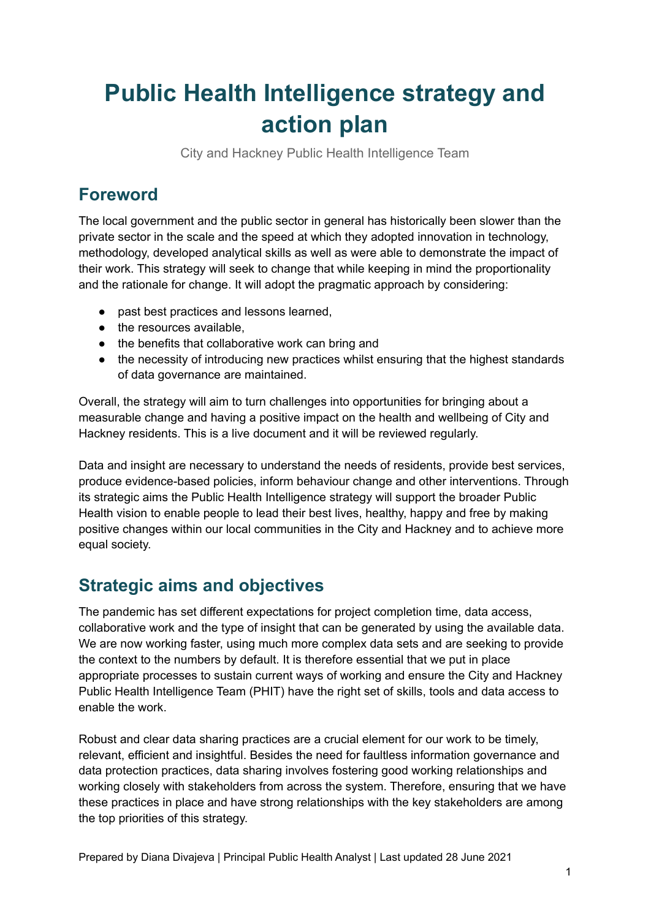# **Public Health Intelligence strategy and action plan**

City and Hackney Public Health Intelligence Team

# **Foreword**

The local government and the public sector in general has historically been slower than the private sector in the scale and the speed at which they adopted innovation in technology, methodology, developed analytical skills as well as were able to demonstrate the impact of their work. This strategy will seek to change that while keeping in mind the proportionality and the rationale for change. It will adopt the pragmatic approach by considering:

- past best practices and lessons learned,
- the resources available,
- the benefits that collaborative work can bring and
- the necessity of introducing new practices whilst ensuring that the highest standards of data governance are maintained.

Overall, the strategy will aim to turn challenges into opportunities for bringing about a measurable change and having a positive impact on the health and wellbeing of City and Hackney residents. This is a live document and it will be reviewed regularly.

Data and insight are necessary to understand the needs of residents, provide best services, produce evidence-based policies, inform behaviour change and other interventions. Through its strategic aims the Public Health Intelligence strategy will support the broader Public Health vision to enable people to lead their best lives, healthy, happy and free by making positive changes within our local communities in the City and Hackney and to achieve more equal society.

## **Strategic aims and objectives**

The pandemic has set different expectations for project completion time, data access, collaborative work and the type of insight that can be generated by using the available data. We are now working faster, using much more complex data sets and are seeking to provide the context to the numbers by default. It is therefore essential that we put in place appropriate processes to sustain current ways of working and ensure the City and Hackney Public Health Intelligence Team (PHIT) have the right set of skills, tools and data access to enable the work.

Robust and clear data sharing practices are a crucial element for our work to be timely, relevant, efficient and insightful. Besides the need for faultless information governance and data protection practices, data sharing involves fostering good working relationships and working closely with stakeholders from across the system. Therefore, ensuring that we have these practices in place and have strong relationships with the key stakeholders are among the top priorities of this strategy.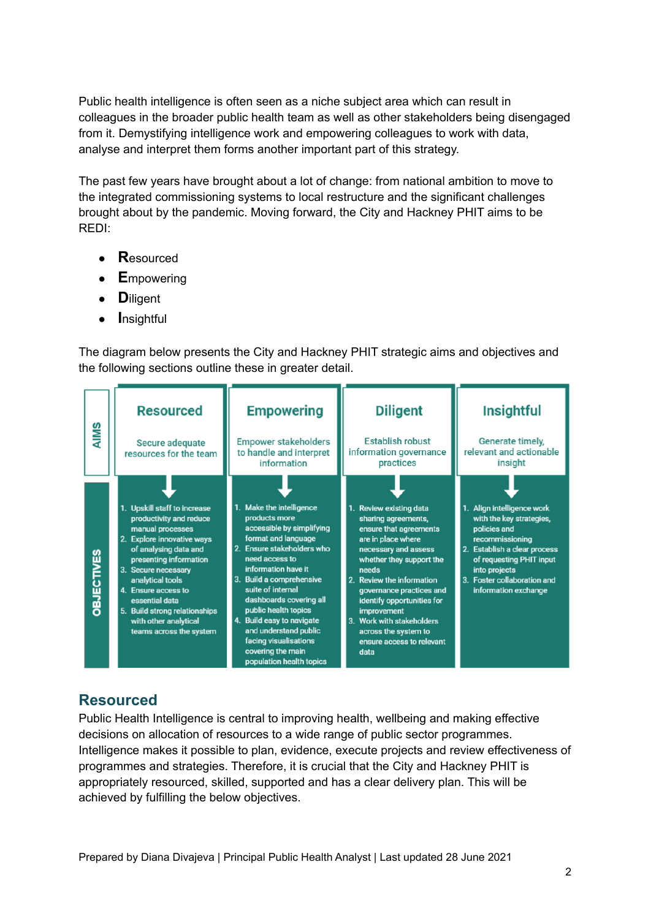Public health intelligence is often seen as a niche subject area which can result in colleagues in the broader public health team as well as other stakeholders being disengaged from it. Demystifying intelligence work and empowering colleagues to work with data, analyse and interpret them forms another important part of this strategy.

The past few years have brought about a lot of change: from national ambition to move to the integrated commissioning systems to local restructure and the significant challenges brought about by the pandemic. Moving forward, the City and Hackney PHIT aims to be REDI:

- **R**esourced
- **E**mpowering
- **D**iligent
- **I**nsightful

The diagram below presents the City and Hackney PHIT strategic aims and objectives and the following sections outline these in greater detail.



### **Resourced**

Public Health Intelligence is central to improving health, wellbeing and making effective decisions on allocation of resources to a wide range of public sector programmes. Intelligence makes it possible to plan, evidence, execute projects and review effectiveness of programmes and strategies. Therefore, it is crucial that the City and Hackney PHIT is appropriately resourced, skilled, supported and has a clear delivery plan. This will be achieved by fulfilling the below objectives.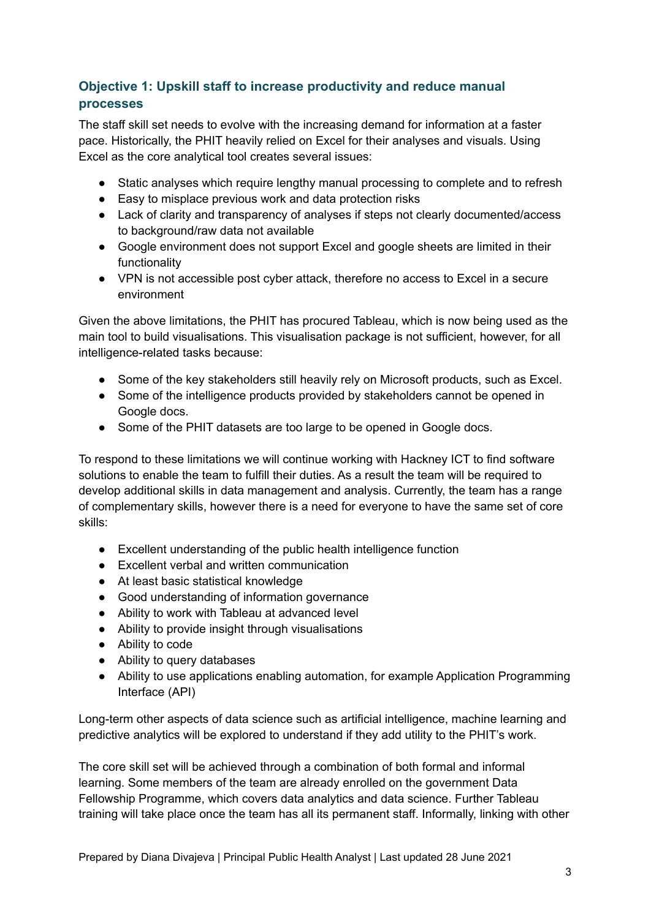### **Objective 1: Upskill staff to increase productivity and reduce manual processes**

The staff skill set needs to evolve with the increasing demand for information at a faster pace. Historically, the PHIT heavily relied on Excel for their analyses and visuals. Using Excel as the core analytical tool creates several issues:

- Static analyses which require lengthy manual processing to complete and to refresh
- Easy to misplace previous work and data protection risks
- Lack of clarity and transparency of analyses if steps not clearly documented/access to background/raw data not available
- Google environment does not support Excel and google sheets are limited in their functionality
- VPN is not accessible post cyber attack, therefore no access to Excel in a secure environment

Given the above limitations, the PHIT has procured Tableau, which is now being used as the main tool to build visualisations. This visualisation package is not sufficient, however, for all intelligence-related tasks because:

- Some of the key stakeholders still heavily rely on Microsoft products, such as Excel.
- Some of the intelligence products provided by stakeholders cannot be opened in Google docs.
- Some of the PHIT datasets are too large to be opened in Google docs.

To respond to these limitations we will continue working with Hackney ICT to find software solutions to enable the team to fulfill their duties. As a result the team will be required to develop additional skills in data management and analysis. Currently, the team has a range of complementary skills, however there is a need for everyone to have the same set of core skills:

- Excellent understanding of the public health intelligence function
- Excellent verbal and written communication
- At least basic statistical knowledge
- Good understanding of information governance
- Ability to work with Tableau at advanced level
- Ability to provide insight through visualisations
- Ability to code
- Ability to query databases
- Ability to use applications enabling automation, for example Application Programming Interface (API)

Long-term other aspects of data science such as artificial intelligence, machine learning and predictive analytics will be explored to understand if they add utility to the PHIT's work.

The core skill set will be achieved through a combination of both formal and informal learning. Some members of the team are already enrolled on the government Data Fellowship Programme, which covers data analytics and data science. Further Tableau training will take place once the team has all its permanent staff. Informally, linking with other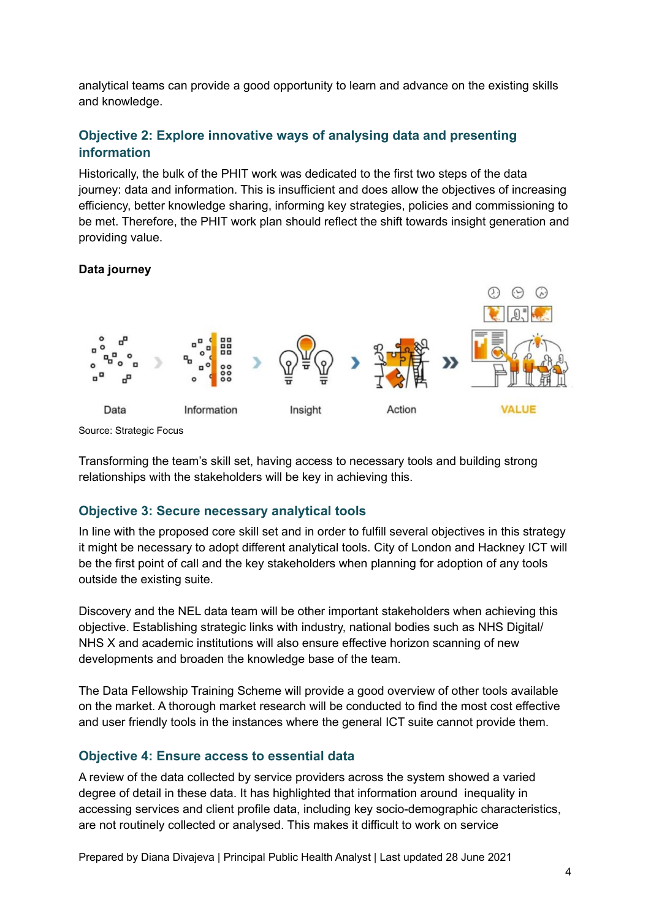analytical teams can provide a good opportunity to learn and advance on the existing skills and knowledge.

#### <span id="page-3-0"></span>**Objective 2: Explore innovative ways of analysing data and presenting information**

Historically, the bulk of the PHIT work was dedicated to the first two steps of the data journey: data and information. This is insufficient and does allow the objectives of increasing efficiency, better knowledge sharing, informing key strategies, policies and commissioning to be met. Therefore, the PHIT work plan should reflect the shift towards insight generation and providing value.

#### **Data journey**



Source: Strategic Focus

Transforming the team's skill set, having access to necessary tools and building strong relationships with the stakeholders will be key in achieving this.

#### **Objective 3: Secure necessary analytical tools**

In line with the proposed core skill set and in order to fulfill several objectives in this strategy it might be necessary to adopt different analytical tools. City of London and Hackney ICT will be the first point of call and the key stakeholders when planning for adoption of any tools outside the existing suite.

Discovery and the NEL data team will be other important stakeholders when achieving this objective. Establishing strategic links with industry, national bodies such as NHS Digital/ NHS X and academic institutions will also ensure effective horizon scanning of new developments and broaden the knowledge base of the team.

The Data Fellowship Training Scheme will provide a good overview of other tools available on the market. A thorough market research will be conducted to find the most cost effective and user friendly tools in the instances where the general ICT suite cannot provide them.

#### **Objective 4: Ensure access to essential data**

A review of the data collected by service providers across the system showed a varied degree of detail in these data. It has highlighted that information around inequality in accessing services and client profile data, including key socio-demographic characteristics, are not routinely collected or analysed. This makes it difficult to work on service

Prepared by Diana Divajeva | Principal Public Health Analyst | Last updated 28 June 2021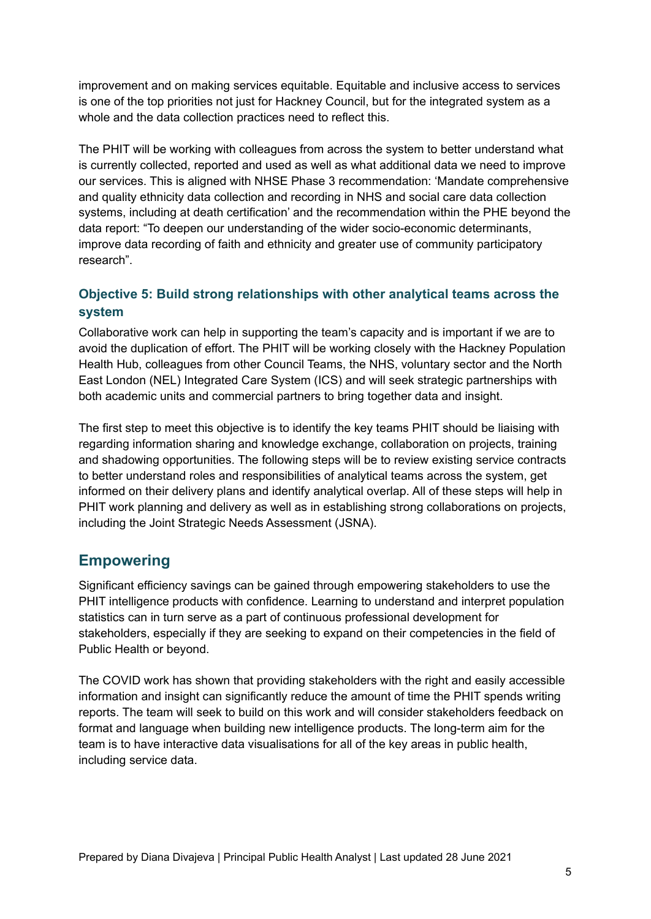improvement and on making services equitable. Equitable and inclusive access to services is one of the top priorities not just for Hackney Council, but for the integrated system as a whole and the data collection practices need to reflect this.

The PHIT will be working with colleagues from across the system to better understand what is currently collected, reported and used as well as what additional data we need to improve our services. This is aligned with NHSE Phase 3 recommendation: 'Mandate comprehensive and quality ethnicity data collection and recording in NHS and social care data collection systems, including at death certification' and the recommendation within the PHE beyond the data report: "To deepen our understanding of the wider socio-economic determinants, improve data recording of faith and ethnicity and greater use of community participatory research".

#### **Objective 5: Build strong relationships with other analytical teams across the system**

Collaborative work can help in supporting the team's capacity and is important if we are to avoid the duplication of effort. The PHIT will be working closely with the Hackney Population Health Hub, colleagues from other Council Teams, the NHS, voluntary sector and the North East London (NEL) Integrated Care System (ICS) and will seek strategic partnerships with both academic units and commercial partners to bring together data and insight.

The first step to meet this objective is to identify the key teams PHIT should be liaising with regarding information sharing and knowledge exchange, collaboration on projects, training and shadowing opportunities. The following steps will be to review existing service contracts to better understand roles and responsibilities of analytical teams across the system, get informed on their delivery plans and identify analytical overlap. All of these steps will help in PHIT work planning and delivery as well as in establishing strong collaborations on projects, including the Joint Strategic Needs Assessment (JSNA).

### **Empowering**

Significant efficiency savings can be gained through empowering stakeholders to use the PHIT intelligence products with confidence. Learning to understand and interpret population statistics can in turn serve as a part of continuous professional development for stakeholders, especially if they are seeking to expand on their competencies in the field of Public Health or beyond.

The COVID work has shown that providing stakeholders with the right and easily accessible information and insight can significantly reduce the amount of time the PHIT spends writing reports. The team will seek to build on this work and will consider stakeholders feedback on format and language when building new intelligence products. The long-term aim for the team is to have interactive data visualisations for all of the key areas in public health, including service data.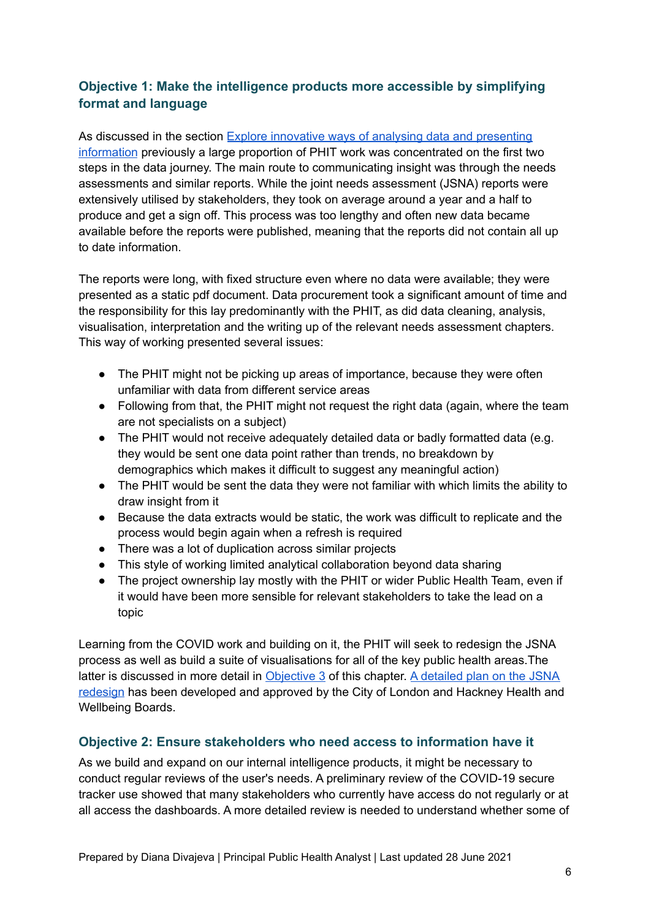#### **Objective 1: Make the intelligence products more accessible by simplifying format and language**

As discussed in the section Explore innovative ways of analysing data and [presenting](#page-3-0) [information](#page-3-0) previously a large proportion of PHIT work was concentrated on the first two steps in the data journey. The main route to communicating insight was through the needs assessments and similar reports. While the joint needs assessment (JSNA) reports were extensively utilised by stakeholders, they took on average around a year and a half to produce and get a sign off. This process was too lengthy and often new data became available before the reports were published, meaning that the reports did not contain all up to date information.

The reports were long, with fixed structure even where no data were available; they were presented as a static pdf document. Data procurement took a significant amount of time and the responsibility for this lay predominantly with the PHIT, as did data cleaning, analysis, visualisation, interpretation and the writing up of the relevant needs assessment chapters. This way of working presented several issues:

- The PHIT might not be picking up areas of importance, because they were often unfamiliar with data from different service areas
- Following from that, the PHIT might not request the right data (again, where the team are not specialists on a subject)
- The PHIT would not receive adequately detailed data or badly formatted data (e.g. they would be sent one data point rather than trends, no breakdown by demographics which makes it difficult to suggest any meaningful action)
- The PHIT would be sent the data they were not familiar with which limits the ability to draw insight from it
- Because the data extracts would be static, the work was difficult to replicate and the process would begin again when a refresh is required
- There was a lot of duplication across similar projects
- This style of working limited analytical collaboration beyond data sharing
- The project ownership lay mostly with the PHIT or wider Public Health Team, even if it would have been more sensible for relevant stakeholders to take the lead on a topic

Learning from the COVID work and building on it, the PHIT will seek to redesign the JSNA process as well as build a suite of visualisations for all of the key public health areas.The latter is discussed in more detail in [Objective](#page-6-0) 3 of this chapter. A [detailed](https://docs.google.com/presentation/d/1bZeSSzNZGvSMLO1LFV_tfZ94cQy9jQw3PU2aHG85hTM/edit) plan on the JSNA [redesign](https://docs.google.com/presentation/d/1bZeSSzNZGvSMLO1LFV_tfZ94cQy9jQw3PU2aHG85hTM/edit) has been developed and approved by the City of London and Hackney Health and Wellbeing Boards.

#### **Objective 2: Ensure stakeholders who need access to information have it**

As we build and expand on our internal intelligence products, it might be necessary to conduct regular reviews of the user's needs. A preliminary review of the COVID-19 secure tracker use showed that many stakeholders who currently have access do not regularly or at all access the dashboards. A more detailed review is needed to understand whether some of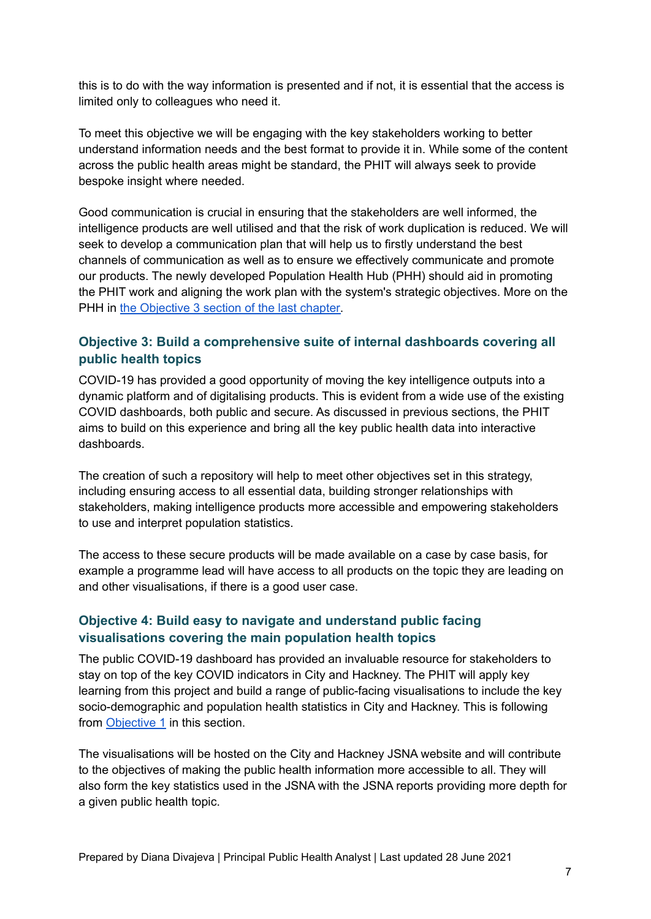this is to do with the way information is presented and if not, it is essential that the access is limited only to colleagues who need it.

To meet this objective we will be engaging with the key stakeholders working to better understand information needs and the best format to provide it in. While some of the content across the public health areas might be standard, the PHIT will always seek to provide bespoke insight where needed.

Good communication is crucial in ensuring that the stakeholders are well informed, the intelligence products are well utilised and that the risk of work duplication is reduced. We will seek to develop a communication plan that will help us to firstly understand the best channels of communication as well as to ensure we effectively communicate and promote our products. The newly developed Population Health Hub (PHH) should aid in promoting the PHIT work and aligning the work plan with the system's strategic objectives. More on the PHH in the [Objective](#page-9-0) 3 section of the last chapter.

#### <span id="page-6-0"></span>**Objective 3: Build a comprehensive suite of internal dashboards covering all public health topics**

COVID-19 has provided a good opportunity of moving the key intelligence outputs into a dynamic platform and of digitalising products. This is evident from a wide use of the existing COVID dashboards, both public and secure. As discussed in previous sections, the PHIT aims to build on this experience and bring all the key public health data into interactive dashboards.

The creation of such a repository will help to meet other objectives set in this strategy, including ensuring access to all essential data, building stronger relationships with stakeholders, making intelligence products more accessible and empowering stakeholders to use and interpret population statistics.

The access to these secure products will be made available on a case by case basis, for example a programme lead will have access to all products on the topic they are leading on and other visualisations, if there is a good user case.

#### **Objective 4: Build easy to navigate and understand public facing visualisations covering the main population health topics**

The public COVID-19 dashboard has provided an invaluable resource for stakeholders to stay on top of the key COVID indicators in City and Hackney. The PHIT will apply key learning from this project and build a range of public-facing visualisations to include the key socio-demographic and population health statistics in City and Hackney. This is following from Objective 1 in this section.

The visualisations will be hosted on the City and Hackney JSNA website and will contribute to the objectives of making the public health information more accessible to all. They will also form the key statistics used in the JSNA with the JSNA reports providing more depth for a given public health topic.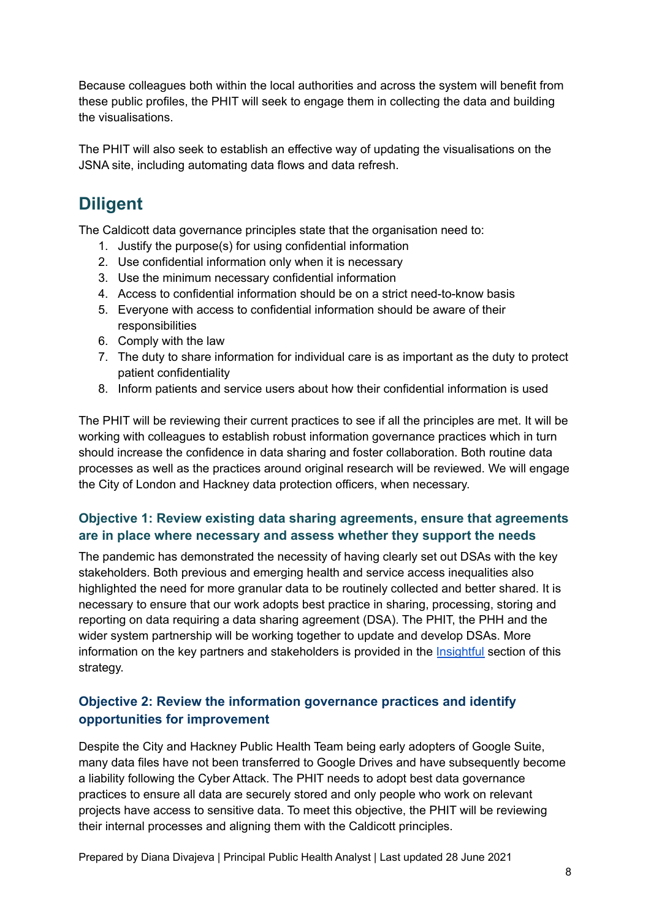Because colleagues both within the local authorities and across the system will benefit from these public profiles, the PHIT will seek to engage them in collecting the data and building the visualisations.

The PHIT will also seek to establish an effective way of updating the visualisations on the JSNA site, including automating data flows and data refresh.

# **Diligent**

The Caldicott data governance principles state that the organisation need to:

- 1. Justify the purpose(s) for using confidential information
- 2. Use confidential information only when it is necessary
- 3. Use the minimum necessary confidential information
- 4. Access to confidential information should be on a strict need-to-know basis
- 5. Everyone with access to confidential information should be aware of their responsibilities
- 6. Comply with the law
- 7. The duty to share information for individual care is as important as the duty to protect patient confidentiality
- 8. Inform patients and service users about how their confidential information is used

The PHIT will be reviewing their current practices to see if all the principles are met. It will be working with colleagues to establish robust information governance practices which in turn should increase the confidence in data sharing and foster collaboration. Both routine data processes as well as the practices around original research will be reviewed. We will engage the City of London and Hackney data protection officers, when necessary.

#### **Objective 1: Review existing data sharing agreements, ensure that agreements are in place where necessary and assess whether they support the needs**

The pandemic has demonstrated the necessity of having clearly set out DSAs with the key stakeholders. Both previous and emerging health and service access inequalities also highlighted the need for more granular data to be routinely collected and better shared. It is necessary to ensure that our work adopts best practice in sharing, processing, storing and reporting on data requiring a data sharing agreement (DSA). The PHIT, the PHH and the wider system partnership will be working together to update and develop DSAs. More information on the key partners and stakeholders is provided in the [Insightful](#page-8-0) section of this strategy.

#### **Objective 2: Review the information governance practices and identify opportunities for improvement**

Despite the City and Hackney Public Health Team being early adopters of Google Suite, many data files have not been transferred to Google Drives and have subsequently become a liability following the Cyber Attack. The PHIT needs to adopt best data governance practices to ensure all data are securely stored and only people who work on relevant projects have access to sensitive data. To meet this objective, the PHIT will be reviewing their internal processes and aligning them with the Caldicott principles.

Prepared by Diana Divajeva | Principal Public Health Analyst | Last updated 28 June 2021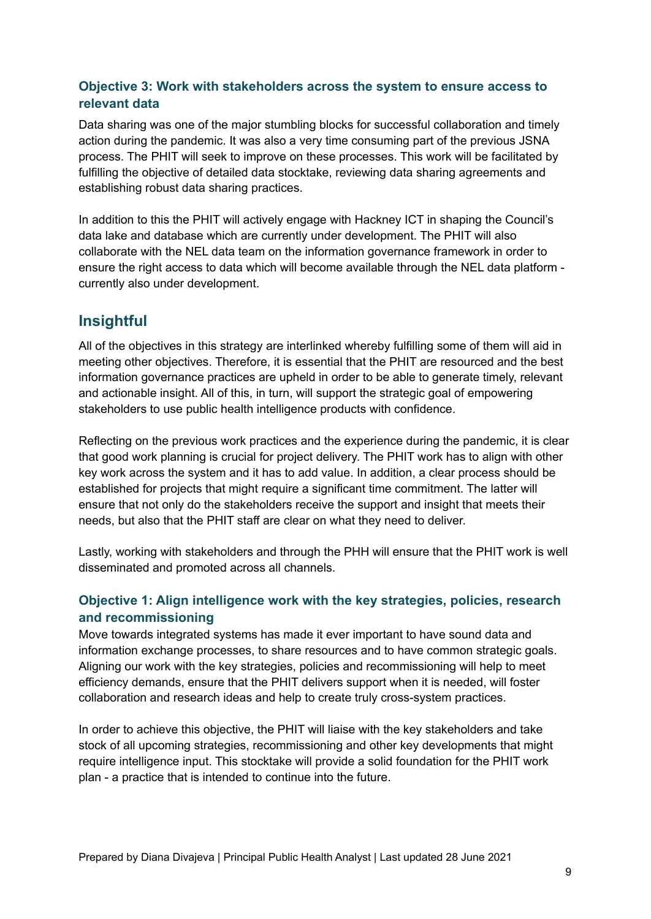#### **Objective 3: Work with stakeholders across the system to ensure access to relevant data**

Data sharing was one of the major stumbling blocks for successful collaboration and timely action during the pandemic. It was also a very time consuming part of the previous JSNA process. The PHIT will seek to improve on these processes. This work will be facilitated by fulfilling the objective of detailed data stocktake, reviewing data sharing agreements and establishing robust data sharing practices.

In addition to this the PHIT will actively engage with Hackney ICT in shaping the Council's data lake and database which are currently under development. The PHIT will also collaborate with the NEL data team on the information governance framework in order to ensure the right access to data which will become available through the NEL data platform currently also under development.

### <span id="page-8-0"></span>**Insightful**

All of the objectives in this strategy are interlinked whereby fulfilling some of them will aid in meeting other objectives. Therefore, it is essential that the PHIT are resourced and the best information governance practices are upheld in order to be able to generate timely, relevant and actionable insight. All of this, in turn, will support the strategic goal of empowering stakeholders to use public health intelligence products with confidence.

Reflecting on the previous work practices and the experience during the pandemic, it is clear that good work planning is crucial for project delivery. The PHIT work has to align with other key work across the system and it has to add value. In addition, a clear process should be established for projects that might require a significant time commitment. The latter will ensure that not only do the stakeholders receive the support and insight that meets their needs, but also that the PHIT staff are clear on what they need to deliver.

Lastly, working with stakeholders and through the PHH will ensure that the PHIT work is well disseminated and promoted across all channels.

#### **Objective 1: Align intelligence work with the key strategies, policies, research and recommissioning**

Move towards integrated systems has made it ever important to have sound data and information exchange processes, to share resources and to have common strategic goals. Aligning our work with the key strategies, policies and recommissioning will help to meet efficiency demands, ensure that the PHIT delivers support when it is needed, will foster collaboration and research ideas and help to create truly cross-system practices.

In order to achieve this objective, the PHIT will liaise with the key stakeholders and take stock of all upcoming strategies, recommissioning and other key developments that might require intelligence input. This stocktake will provide a solid foundation for the PHIT work plan - a practice that is intended to continue into the future.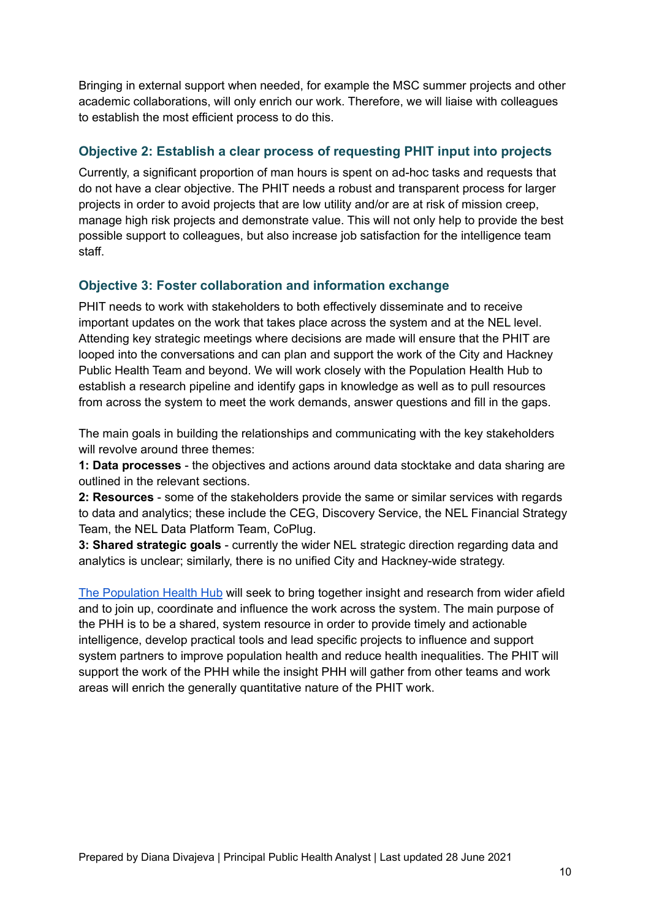Bringing in external support when needed, for example the MSC summer projects and other academic collaborations, will only enrich our work. Therefore, we will liaise with colleagues to establish the most efficient process to do this.

#### **Objective 2: Establish a clear process of requesting PHIT input into projects**

Currently, a significant proportion of man hours is spent on ad-hoc tasks and requests that do not have a clear objective. The PHIT needs a robust and transparent process for larger projects in order to avoid projects that are low utility and/or are at risk of mission creep, manage high risk projects and demonstrate value. This will not only help to provide the best possible support to colleagues, but also increase job satisfaction for the intelligence team staff.

#### <span id="page-9-0"></span>**Objective 3: Foster collaboration and information exchange**

PHIT needs to work with stakeholders to both effectively disseminate and to receive important updates on the work that takes place across the system and at the NEL level. Attending key strategic meetings where decisions are made will ensure that the PHIT are looped into the conversations and can plan and support the work of the City and Hackney Public Health Team and beyond. We will work closely with the Population Health Hub to establish a research pipeline and identify gaps in knowledge as well as to pull resources from across the system to meet the work demands, answer questions and fill in the gaps.

The main goals in building the relationships and communicating with the key stakeholders will revolve around three themes:

**1: Data processes** - the objectives and actions around data stocktake and data sharing are outlined in the relevant sections.

**2: Resources** - some of the stakeholders provide the same or similar services with regards to data and analytics; these include the CEG, Discovery Service, the NEL Financial Strategy Team, the NEL Data Platform Team, CoPlug.

**3: Shared strategic goals** - currently the wider NEL strategic direction regarding data and analytics is unclear; similarly, there is no unified City and Hackney-wide strategy.

The [Population](https://docs.google.com/presentation/d/1W-AeuZT1Eeq9lVBFYJlXiB6cb5fzzdD8ZFkl9zRIOqI/edit) Health Hub will seek to bring together insight and research from wider afield and to join up, coordinate and influence the work across the system. The main purpose of the PHH is to be a shared, system resource in order to provide timely and actionable intelligence, develop practical tools and lead specific projects to influence and support system partners to improve population health and reduce health inequalities. The PHIT will support the work of the PHH while the insight PHH will gather from other teams and work areas will enrich the generally quantitative nature of the PHIT work.